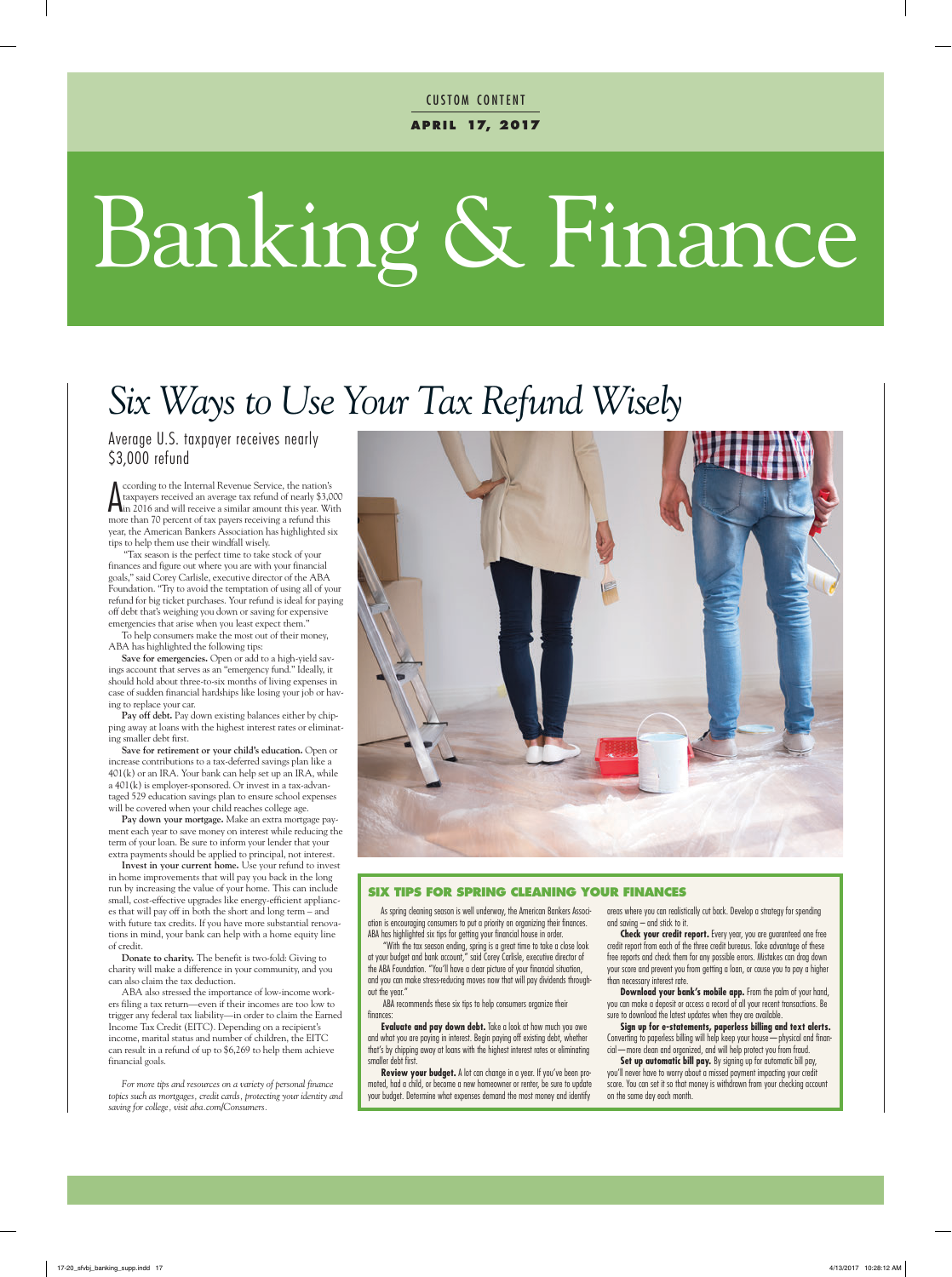**a p r i l 17, 2017 CUSTOM CONTENT** 

# Banking & Finance

### *Six Ways to Use Your Tax Refund Wisely*

Average U.S. taxpayer receives nearly \$3,000 refund

**A** ccording to the Internal Revenue Service, the nation's<br>taxpayers received an average tax refund of nearly \$3,000<br>in 2016 and will receive a similar amount this year. With<br>maps than <sup>70</sup> persual of tax maps receiving a ccording to the Internal Revenue Service, the nation's taxpayers received an average tax refund of nearly \$3,000 more than 70 percent of tax payers receiving a refund this year, the American Bankers Association has highlighted six tips to help them use their windfall wisely.

"Tax season is the perfect time to take stock of your finances and figure out where you are with your financial goals," said Corey Carlisle, executive director of the ABA Foundation. "Try to avoid the temptation of using all of your refund for big ticket purchases. Your refund is ideal for paying off debt that's weighing you down or saving for expensive emergencies that arise when you least expect them."

To help consumers make the most out of their money, ABA has highlighted the following tips:

**Save for emergencies.** Open or add to a high-yield savings account that serves as an "emergency fund." Ideally, it should hold about three-to-six months of living expenses in case of sudden financial hardships like losing your job or having to replace your car.

**Pay off debt.** Pay down existing balances either by chipping away at loans with the highest interest rates or eliminating smaller debt first.

**Save for retirement or your child's education.** Open or increase contributions to a tax-deferred savings plan like a 401(k) or an IRA. Your bank can help set up an IRA, while a 401(k) is employer-sponsored. Or invest in a tax-advantaged 529 education savings plan to ensure school expenses will be covered when your child reaches college age.

**Pay down your mortgage.** Make an extra mortgage payment each year to save money on interest while reducing the term of your loan. Be sure to inform your lender that your extra payments should be applied to principal, not interest.

**Invest in your current home.** Use your refund to invest in home improvements that will pay you back in the long run by increasing the value of your home. This can include small, cost-effective upgrades like energy-efficient appliances that will pay off in both the short and long term – and with future tax credits. If you have more substantial renovations in mind, your bank can help with a home equity line of credit.

**Donate to charity.** The benefit is two-fold: Giving to charity will make a difference in your community, and you can also claim the tax deduction.

ABA also stressed the importance of low-income workers filing a tax return—even if their incomes are too low to trigger any federal tax liability—in order to claim the Earned Income Tax Credit (EITC). Depending on a recipient's income, marital status and number of children, the EITC can result in a refund of up to \$6,269 to help them achieve financial goals.

*For more tips and resources on a variety of personal finance topics such as mortgages, credit cards, protecting your identity and saving for college, visit aba.com/Consumers.*



#### **SIX TIPS FOR SPRING CLEANING YOUR FINANCES**

As spring cleaning season is well underway, the American Bankers Association is encouraging consumers to put a priority on organizing their finances. ABA has highlighted six tips for getting your financial house in order.

"With the tax season ending, spring is a great time to take a close look at your budget and bank account," said Corey Carlisle, executive director of the ABA Foundation. "You'll have a clear picture of your financial situation, and you can make stress-reducing moves now that will pay dividends throughout the year."

ABA recommends these six tips to help consumers organize their finances:

**Evaluate and pay down debt.** Take a look at how much you owe and what you are paying in interest. Begin paying off existing debt, whether that's by chipping away at loans with the highest interest rates or eliminating smaller debt first.

**Review your budget.** A lot can change in a year. If you've been promoted, had a child, or become a new homeowner or renter, be sure to update your budget. Determine what expenses demand the most money and identify

areas where you can realistically cut back. Develop a strategy for spending and saving – and stick to it.

**Check your credit report.** Every year, you are guaranteed one free credit report from each of the three credit bureaus. Take advantage of these free reports and check them for any possible errors. Mistakes can drag down your score and prevent you from getting a loan, or cause you to pay a higher than necessary interest rate.

**Download your bank's mobile app.** From the palm of your hand, you can make a deposit or access a record of all your recent transactions. Be sure to download the latest updates when they are available.

**Sign up for e-statements, paperless billing and text alerts.** Converting to paperless billing will help keep your house—physical and financial—more clean and organized, and will help protect you from fraud.

Set up automatic bill pay. By signing up for automatic bill pay, you'll never have to worry about a missed payment impacting your credit score. You can set it so that money is withdrawn from your checking account on the same day each month.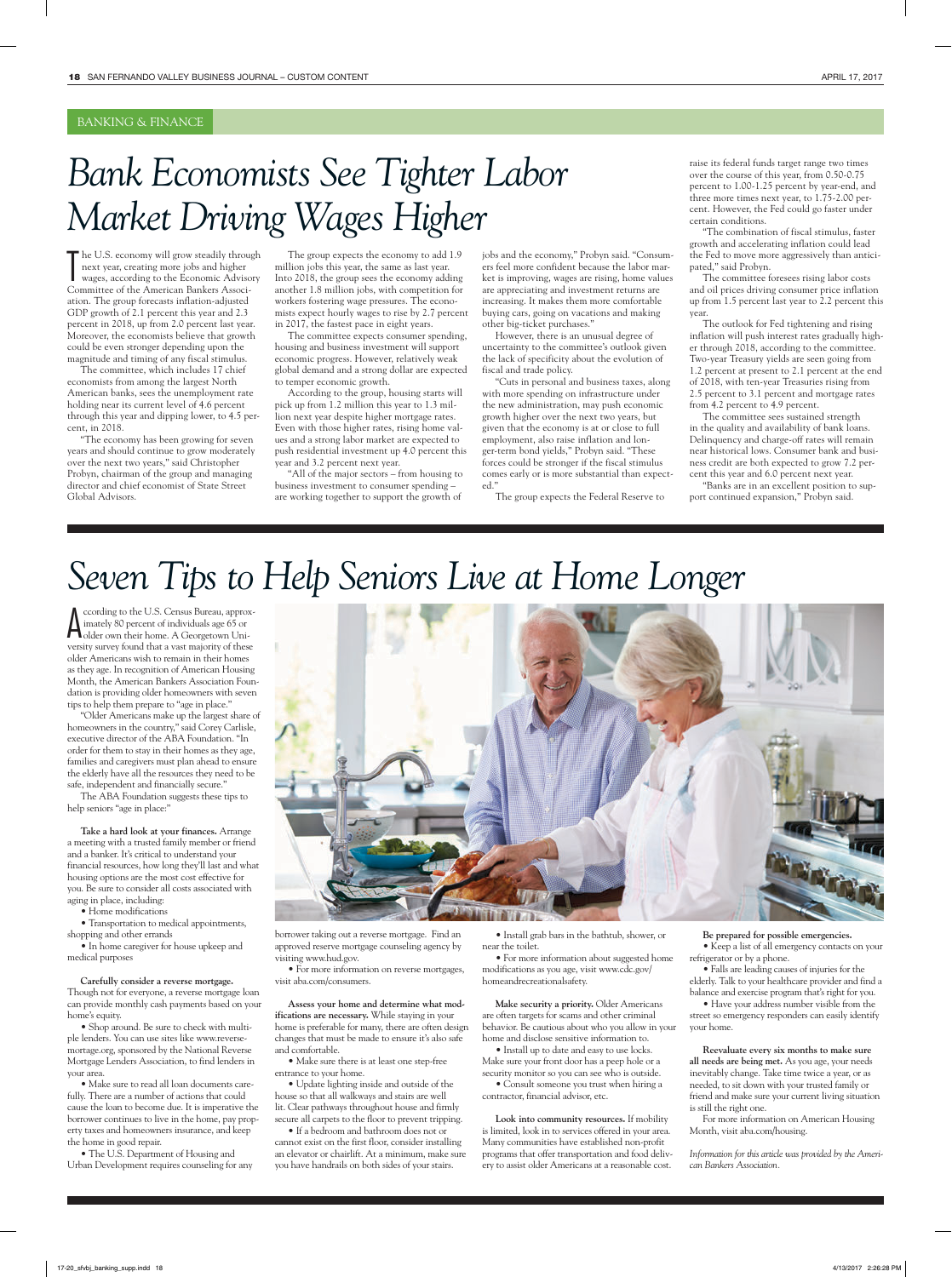#### BANKING & FINANCE

### *Bank Economists See Tighter Labor Market Driving Wages Higher*

The U.S. economy will grow steadily throu<br>next year, creating more jobs and higher<br>wages, according to the Economic Adviso<br>Committee of the American Bankers Associhe U.S. economy will grow steadily through next year, creating more jobs and higher wages, according to the Economic Advisory ation. The group forecasts inflation-adjusted GDP growth of 2.1 percent this year and 2.3 percent in 2018, up from 2.0 percent last year. Moreover, the economists believe that growth could be even stronger depending upon the magnitude and timing of any fiscal stimulus.

The committee, which includes 17 chief economists from among the largest North American banks, sees the unemployment rate holding near its current level of 4.6 percent through this year and dipping lower, to 4.5 percent, in 2018.

"The economy has been growing for seven years and should continue to grow moderately over the next two years," said Christopher Probyn, chairman of the group and managing director and chief economist of State Street Global Advisors.

The group expects the economy to add 1.9 million jobs this year, the same as last year. Into 2018, the group sees the economy adding another 1.8 million jobs, with competition for workers fostering wage pressures. The economists expect hourly wages to rise by 2.7 percent in 2017, the fastest pace in eight years.

The committee expects consumer spending, housing and business investment will support economic progress. However, relatively weak global demand and a strong dollar are expected to temper economic growth.

According to the group, housing starts will pick up from 1.2 million this year to 1.3 million next year despite higher mortgage rates. Even with those higher rates, rising home values and a strong labor market are expected to push residential investment up 4.0 percent this year and 3.2 percent next year.

"All of the major sectors – from housing to business investment to consumer spending – are working together to support the growth of

jobs and the economy," Probyn said. "Consumers feel more confident because the labor market is improving, wages are rising, home values are appreciating and investment returns are increasing. It makes them more comfortable buying cars, going on vacations and making other big-ticket purchases."

However, there is an unusual degree of uncertainty to the committee's outlook given the lack of specificity about the evolution of fiscal and trade policy.

"Cuts in personal and business taxes, along with more spending on infrastructure under the new administration, may push economic growth higher over the next two years, but given that the economy is at or close to full employment, also raise inflation and longer-term bond yields," Probyn said. "These forces could be stronger if the fiscal stimulus comes early or is more substantial than expected."

The group expects the Federal Reserve to

raise its federal funds target range two times over the course of this year, from 0.50-0.75 percent to 1.00-1.25 percent by year-end, and three more times next year, to 1.75-2.00 percent. However, the Fed could go faster under certain conditions.

"The combination of fiscal stimulus, faster growth and accelerating inflation could lead the Fed to move more aggressively than anticipated," said Probyn.

The committee foresees rising labor costs and oil prices driving consumer price inflation up from 1.5 percent last year to 2.2 percent this year.

The outlook for Fed tightening and rising inflation will push interest rates gradually higher through 2018, according to the committee. Two-year Treasury yields are seen going from 1.2 percent at present to 2.1 percent at the end of 2018, with ten-year Treasuries rising from 2.5 percent to 3.1 percent and mortgage rates from 4.2 percent to 4.9 percent.

The committee sees sustained strength in the quality and availability of bank loans. Delinquency and charge-off rates will remain near historical lows. Consumer bank and business credit are both expected to grow 7.2 percent this year and 6.0 percent next year.

"Banks are in an excellent position to support continued expansion," Probyn said.

### *Seven Tips to Help Seniors Live at Home Longer*

A ccording to the U.S. Census Bureau, approx<br>
imately 80 percent of individuals age 65 or<br>
older own their home. A Georgetown Uniccording to the U.S. Census Bureau, approximately 80 percent of individuals age 65 or versity survey found that a vast majority of these older Americans wish to remain in their homes as they age. In recognition of American Housing Month, the American Bankers Association Foundation is providing older homeowners with seven tips to help them prepare to "age in place."

"Older Americans make up the largest share of homeowners in the country," said Corey Carlisle, executive director of the ABA Foundation. "In order for them to stay in their homes as they age, families and caregivers must plan ahead to ensure the elderly have all the resources they need to be safe, independent and financially secure."

The ABA Foundation suggests these tips to help seniors "age in place:"

**Take a hard look at your finances.** Arrange a meeting with a trusted family member or friend and a banker. It's critical to understand your financial resources, how long they'll last and what housing options are the most cost effective for you. Be sure to consider all costs associated with aging in place, including:

• Home modifications

• Transportation to medical appointments, shopping and other errands

• In home caregiver for house upkeep and medical purposes

**Carefully consider a reverse mortgage.** Though not for everyone, a reverse mortgage loan can provide monthly cash payments based on your home's equity.

• Shop around. Be sure to check with multiple lenders. You can use sites like www.reversemortage.org, sponsored by the National Reverse Mortgage Lenders Association, to find lenders in your area.

• Make sure to read all loan documents carefully. There are a number of actions that could cause the loan to become due. It is imperative the borrower continues to live in the home, pay property taxes and homeowners insurance, and keep the home in good repair.

• The U.S. Department of Housing and Urban Development requires counseling for any



borrower taking out a reverse mortgage. Find an approved reserve mortgage counseling agency by visiting www.hud.gov.

• For more information on reverse mortgages, visit aba.com/consumers.

**Assess your home and determine what modifications are necessary.** While staying in your home is preferable for many, there are often design changes that must be made to ensure it's also safe and comfortable.

• Make sure there is at least one step-free entrance to your home.

• Update lighting inside and outside of the house so that all walkways and stairs are well lit. Clear pathways throughout house and firmly secure all carpets to the floor to prevent tripping.

• If a bedroom and bathroom does not or cannot exist on the first floor, consider installing an elevator or chairlift. At a minimum, make sure you have handrails on both sides of your stairs.

• Install grab bars in the bathtub, shower, or near the toilet.

• For more information about suggested home modifications as you age, visit www.cdc.gov/ homeandrecreationalsafety.

**Make security a priority.** Older Americans are often targets for scams and other criminal behavior. Be cautious about who you allow in your home and disclose sensitive information to.

• Install up to date and easy to use locks. Make sure your front door has a peep hole or a security monitor so you can see who is outside. • Consult someone you trust when hiring a

contractor, financial advisor, etc.

**Look into community resources.** If mobility is limited, look in to services offered in your area. Many communities have established non-profit programs that offer transportation and food delivery to assist older Americans at a reasonable cost.

**Be prepared for possible emergencies.** • Keep a list of all emergency contacts on your refrigerator or by a phone.

• Falls are leading causes of injuries for the elderly. Talk to your healthcare provider and find a balance and exercise program that's right for you.

• Have your address number visible from the street so emergency responders can easily identify your home.

**Reevaluate every six months to make sure all needs are being met.** As you age, your needs inevitably change. Take time twice a year, or as needed, to sit down with your trusted family or friend and make sure your current living situation is still the right one.

For more information on American Housing Month, visit aba.com/housing.

*Information for this article was provided by the American Bankers Association.*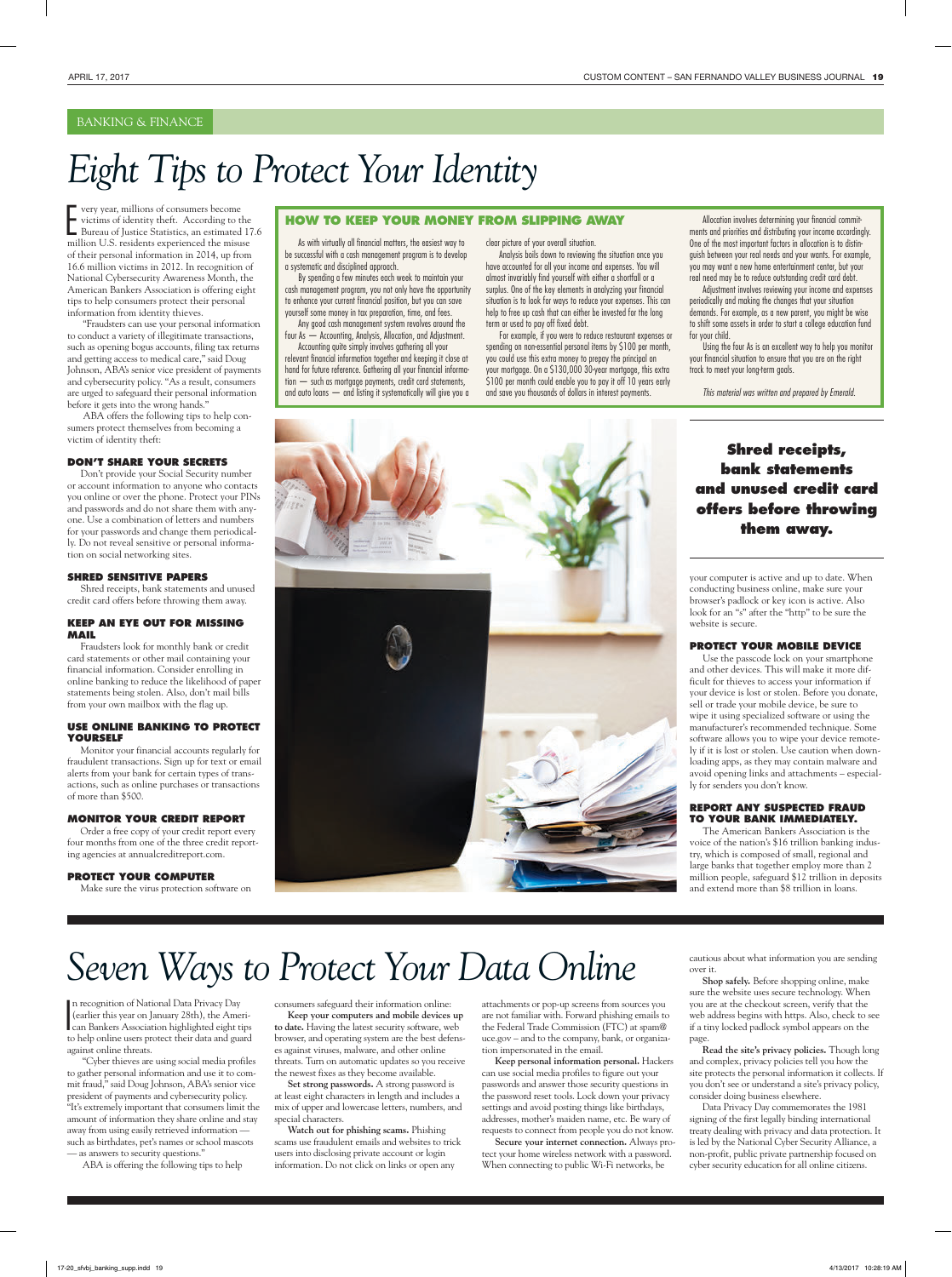#### BANKING & FINANCE

### *Eight Tips to Protect Your Identity*

F very year, millions of consumers become<br>victims of identity theft. According to the<br>Bureau of Justice Statistics, an estimated 17.6<br>million U.S. residents upperliened the minus very year, millions of consumers become victims of identity theft. According to the million U.S. residents experienced the misuse of their personal information in 2014, up from 16.6 million victims in 2012. In recognition of National Cybersecurity Awareness Month, the American Bankers Association is offering eight tips to help consumers protect their personal information from identity thieves.

"Fraudsters can use your personal information to conduct a variety of illegitimate transactions, such as opening bogus accounts, filing tax returns and getting access to medical care," said Doug Johnson, ABA's senior vice president of payments and cybersecurity policy. "As a result, consumers are urged to safeguard their personal information before it gets into the wrong hands."

ABA offers the following tips to help consumers protect themselves from becoming a victim of identity theft:

#### **DON'T SHARE YOUR SECRETS**

Don't provide your Social Security number or account information to anyone who contacts you online or over the phone. Protect your PINs and passwords and do not share them with anyone. Use a combination of letters and numbers for your passwords and change them periodically. Do not reveal sensitive or personal information on social networking sites.

#### **SHRED SENSITIVE PAPERS**

Shred receipts, bank statements and unused credit card offers before throwing them away.

#### **KEEP AN EYE OUT FOR MISSING MAIL**

Fraudsters look for monthly bank or credit card statements or other mail containing your financial information. Consider enrolling in online banking to reduce the likelihood of paper statements being stolen. Also, don't mail bills from your own mailbox with the flag up.

#### **USE ONLINE BANKING TO PROTECT YOURSELF**

Monitor your financial accounts regularly for fraudulent transactions. Sign up for text or email alerts from your bank for certain types of transactions, such as online purchases or transactions of more than \$500.

#### **MONITOR YOUR CREDIT REPORT**

Order a free copy of your credit report every four months from one of the three credit reporting agencies at annualcreditreport.com.

#### **PROTECT YOUR COMPUTER**

Make sure the virus protection software on

#### **HOW TO KEEP YOUR MONEY FROM SLIPPING AWAY**

As with virtually all financial matters, the easiest way to be successful with a cash management program is to develop a systematic and disciplined approach.

By spending a few minutes each week to maintain your cash management program, you not only have the opportunity to enhance your current financial position, but you can save yourself some money in tax preparation, time, and fees.

Any good cash management system revolves around the four As — Accounting, Analysis, Allocation, and Adjustment. Accounting quite simply involves gathering all your

relevant financial information together and keeping it close at hand for future reference. Gathering all your financial information — such as mortgage payments, credit card statements, and auto loans — and listing it systematically will give you a clear picture of your overall situation.

Analysis boils down to reviewing the situation once you have accounted for all your income and expenses. You will almost invariably find yourself with either a shortfall or a surplus. One of the key elements in analyzing your financial situation is to look for ways to reduce your expenses. This can help to free up cash that can either be invested for the long term or used to pay off fixed debt.

For example, if you were to reduce restaurant expenses or spending on non-essential personal items by \$100 per month, you could use this extra money to prepay the principal on your mortgage. On a \$130,000 30-year mortgage, this extra \$100 per month could enable you to pay it off 10 years early and save you thousands of dollars in interest payments.

Allocation involves determining your financial commitments and priorities and distributing your income accordingly. One of the most important factors in allocation is to distinguish between your real needs and your wants. For example, you may want a new home entertainment center, but your real need may be to reduce outstanding credit card debt.

Adjustment involves reviewing your income and expenses periodically and making the changes that your situation demands. For example, as a new parent, you might be wise to shift some assets in order to start a college education fund for your child.

Using the four As is an excellent way to help you monitor your financial situation to ensure that you are on the right track to meet your long-term goals.

*This material was written and prepared by Emerald.*



### **bank statements and unused credit card offers before throwing them away.**

**Shred receipts,** 

your computer is active and up to date. When conducting business online, make sure your browser's padlock or key icon is active. Also look for an "s" after the "http" to be sure the website is secure.

#### **PROTECT YOUR MOBILE DEVICE**

Use the passcode lock on your smartphone and other devices. This will make it more difficult for thieves to access your information if your device is lost or stolen. Before you donate, sell or trade your mobile device, be sure to wipe it using specialized software or using the manufacturer's recommended technique. Some software allows you to wipe your device remotely if it is lost or stolen. Use caution when downloading apps, as they may contain malware and avoid opening links and attachments – especially for senders you don't know.

#### **REPORT ANY SUSPECTED FRAUD TO YOUR BANK IMMEDIATELY.**

The American Bankers Association is the voice of the nation's \$16 trillion banking industry, which is composed of small, regional and large banks that together employ more than 2 million people, safeguard \$12 trillion in deposits and extend more than \$8 trillion in loans.

### *Seven Ways to Protect Your Data Online*

n recognition of National Data Privacy Day<br>
(earlier this year on January 28th), the Ameri-<br>
can Bankers Association highlighted eight tips<br>
to be a period and a second protect their direction n recognition of National Data Privacy Day (earlier this year on January 28th), the Amerito help online users protect their data and guard against online threats.

"Cyber thieves are using social media profiles to gather personal information and use it to commit fraud," said Doug Johnson, ABA's senior vice president of payments and cybersecurity policy. "It's extremely important that consumers limit the amount of information they share online and stay away from using easily retrieved information such as birthdates, pet's names or school mascots — as answers to security questions."

ABA is offering the following tips to help

consumers safeguard their information online: **Keep your computers and mobile devices up** 

**to date.** Having the latest security software, web browser, and operating system are the best defenses against viruses, malware, and other online

threats. Turn on automatic updates so you receive the newest fixes as they become available. **Set strong passwords.** A strong password is

at least eight characters in length and includes a mix of upper and lowercase letters, numbers, and special characters.

**Watch out for phishing scams.** Phishing scams use fraudulent emails and websites to trick users into disclosing private account or login information. Do not click on links or open any

attachments or pop-up screens from sources you are not familiar with. Forward phishing emails to the Federal Trade Commission (FTC) at spam@ uce.gov – and to the company, bank, or organization impersonated in the email.

**Keep personal information personal.** Hackers can use social media profiles to figure out your passwords and answer those security questions in the password reset tools. Lock down your privacy settings and avoid posting things like birthdays, addresses, mother's maiden name, etc. Be wary of requests to connect from people you do not know.

**Secure your internet connection.** Always protect your home wireless network with a password. When connecting to public Wi-Fi networks, be

cautious about what information you are sending over it.

**Shop safely.** Before shopping online, make sure the website uses secure technology. When you are at the checkout screen, verify that the web address begins with https. Also, check to see if a tiny locked padlock symbol appears on the page.

**Read the site's privacy policies.** Though long and complex, privacy policies tell you how the site protects the personal information it collects. If you don't see or understand a site's privacy policy, consider doing business elsewhere.

Data Privacy Day commemorates the 1981 signing of the first legally binding international treaty dealing with privacy and data protection. It is led by the National Cyber Security Alliance, a non-profit, public private partnership focused on cyber security education for all online citizens.